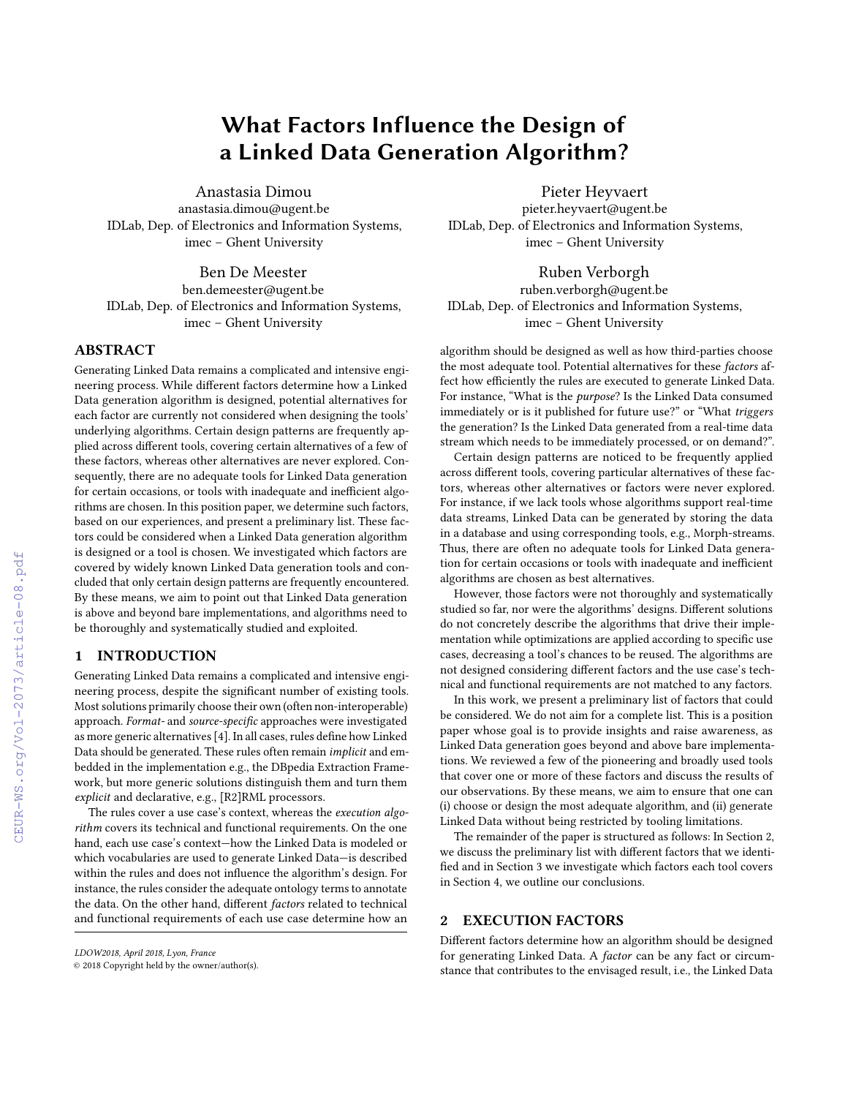# What Factors Influence the Design of a Linked Data Generation Algorithm?

Anastasia Dimou anastasia.dimou@ugent.be IDLab, Dep. of Electronics and Information Systems, imec – Ghent University

Ben De Meester ben.demeester@ugent.be IDLab, Dep. of Electronics and Information Systems, imec – Ghent University

# ABSTRACT

Generating Linked Data remains a complicated and intensive engineering process. While different factors determine how a Linked Data generation algorithm is designed, potential alternatives for each factor are currently not considered when designing the tools' underlying algorithms. Certain design patterns are frequently applied across different tools, covering certain alternatives of a few of these factors, whereas other alternatives are never explored. Consequently, there are no adequate tools for Linked Data generation for certain occasions, or tools with inadequate and inefficient algorithms are chosen. In this position paper, we determine such factors, based on our experiences, and present a preliminary list. These factors could be considered when a Linked Data generation algorithm is designed or a tool is chosen. We investigated which factors are covered by widely known Linked Data generation tools and concluded that only certain design patterns are frequently encountered. By these means, we aim to point out that Linked Data generation is above and beyond bare implementations, and algorithms need to be thoroughly and systematically studied and exploited.

# 1 INTRODUCTION

Generating Linked Data remains a complicated and intensive engineering process, despite the significant number of existing tools. Most solutions primarily choose their own (often non-interoperable) approach. Format- and source-specific approaches were investigated as more generic alternatives [\[4\]](#page--1-0). In all cases, rules define how Linked Data should be generated. These rules often remain implicit and embedded in the implementation e.g., the DBpedia Extraction Framework, but more generic solutions distinguish them and turn them explicit and declarative, e.g., [R2]RML processors.

The rules cover a use case's context, whereas the execution algorithm covers its technical and functional requirements. On the one hand, each use case's context—how the Linked Data is modeled or which vocabularies are used to generate Linked Data—is described within the rules and does not influence the algorithm's design. For instance, the rules consider the adequate ontology terms to annotate the data. On the other hand, different factors related to technical and functional requirements of each use case determine how an

Pieter Heyvaert pieter.heyvaert@ugent.be IDLab, Dep. of Electronics and Information Systems, imec – Ghent University

Ruben Verborgh ruben.verborgh@ugent.be IDLab, Dep. of Electronics and Information Systems, imec – Ghent University

algorithm should be designed as well as how third-parties choose the most adequate tool. Potential alternatives for these factors affect how efficiently the rules are executed to generate Linked Data. For instance, "What is the *purpose*? Is the Linked Data consumed immediately or is it published for future use?" or "What triggers the generation? Is the Linked Data generated from a real-time data stream which needs to be immediately processed, or on demand?".

Certain design patterns are noticed to be frequently applied across different tools, covering particular alternatives of these factors, whereas other alternatives or factors were never explored. For instance, if we lack tools whose algorithms support real-time data streams, Linked Data can be generated by storing the data in a database and using corresponding tools, e.g., Morph-streams. Thus, there are often no adequate tools for Linked Data generation for certain occasions or tools with inadequate and inefficient algorithms are chosen as best alternatives.

However, those factors were not thoroughly and systematically studied so far, nor were the algorithms' designs. Different solutions do not concretely describe the algorithms that drive their implementation while optimizations are applied according to specific use cases, decreasing a tool's chances to be reused. The algorithms are not designed considering different factors and the use case's technical and functional requirements are not matched to any factors.

In this work, we present a preliminary list of factors that could be considered. We do not aim for a complete list. This is a position paper whose goal is to provide insights and raise awareness, as Linked Data generation goes beyond and above bare implementations. We reviewed a few of the pioneering and broadly used tools that cover one or more of these factors and discuss the results of our observations. By these means, we aim to ensure that one can (i) choose or design the most adequate algorithm, and (ii) generate Linked Data without being restricted by tooling limitations.

The remainder of the paper is structured as follows: In [Section 2,](#page-0-0) we discuss the preliminary list with different factors that we identified and in [Section 3](#page--1-1) we investigate which factors each tool covers in [Section 4,](#page--1-2) we outline our conclusions.

# <span id="page-0-0"></span>2 EXECUTION FACTORS

Different factors determine how an algorithm should be designed for generating Linked Data. A factor can be any fact or circumstance that contributes to the envisaged result, i.e., the Linked Data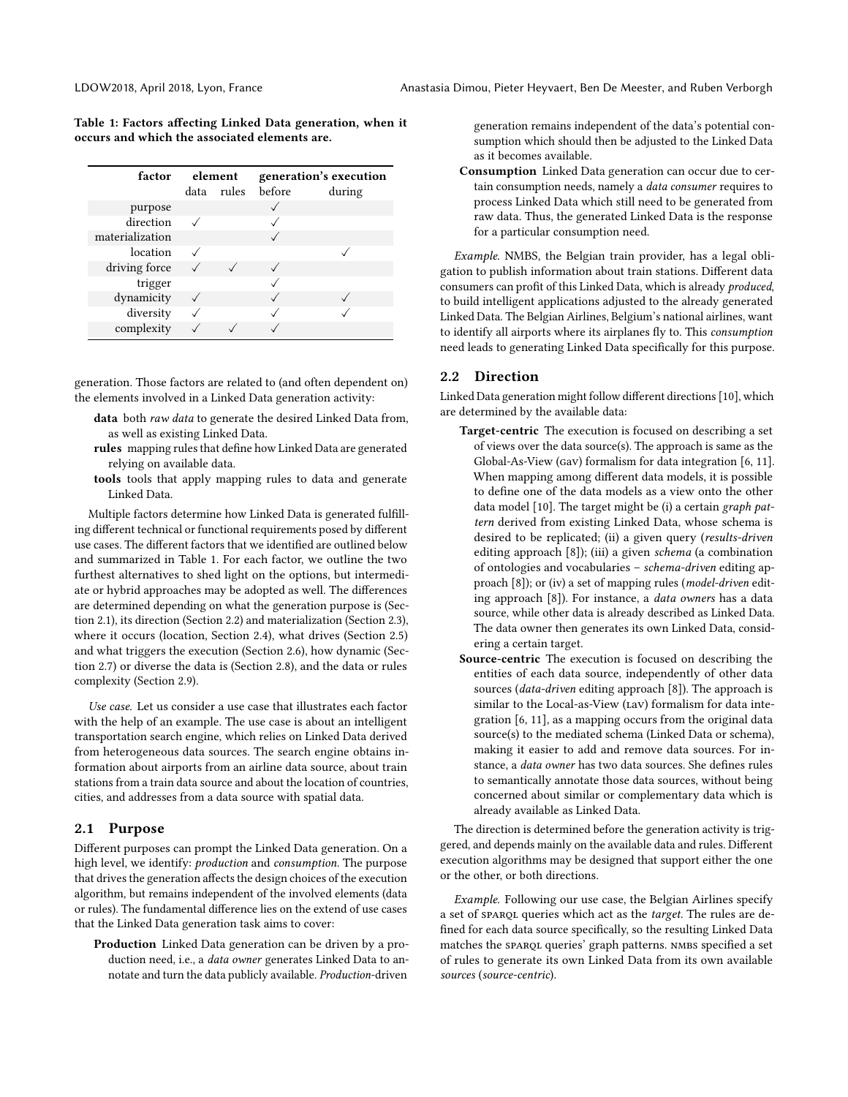<span id="page-1-0"></span>Table 1: Factors affecting Linked Data generation, when it occurs and which the associated elements are.

| factor          | element |       | generation's execution |        |  |  |
|-----------------|---------|-------|------------------------|--------|--|--|
|                 | data    | rules | before                 | during |  |  |
| purpose         |         |       |                        |        |  |  |
| direction       |         |       |                        |        |  |  |
| materialization |         |       |                        |        |  |  |
| location        |         |       |                        |        |  |  |
| driving force   |         |       |                        |        |  |  |
| trigger         |         |       |                        |        |  |  |
| dynamicity      |         |       |                        |        |  |  |
| diversity       |         |       |                        |        |  |  |
| complexity      |         |       |                        |        |  |  |

generation. Those factors are related to (and often dependent on) the elements involved in a Linked Data generation activity:

- data both raw data to generate the desired Linked Data from, as well as existing Linked Data.
- rules mapping rules that define how Linked Data are generated relying on available data.
- tools tools that apply mapping rules to data and generate Linked Data.

Multiple factors determine how Linked Data is generated fulfilling different technical or functional requirements posed by different use cases. The different factors that we identified are outlined below and summarized in [Table 1.](#page-1-0) For each factor, we outline the two furthest alternatives to shed light on the options, but intermediate or hybrid approaches may be adopted as well. The differences are determined depending on what the generation purpose is [\(Sec](#page-1-1)[tion 2.1\)](#page-1-1), its direction [\(Section 2.2\)](#page-1-2) and materialization [\(Section 2.3\)](#page-2-0), where it occurs (location, [Section 2.4\)](#page-2-1), what drives [\(Section 2.5\)](#page-2-2) and what triggers the execution [\(Section 2.6\)](#page-2-3), how dynamic [\(Sec](#page-2-4)[tion 2.7\)](#page-2-4) or diverse the data is [\(Section 2.8\)](#page-2-5), and the data or rules complexity [\(Section 2.9\)](#page-3-0).

Use case. Let us consider a use case that illustrates each factor with the help of an example. The use case is about an intelligent transportation search engine, which relies on Linked Data derived from heterogeneous data sources. The search engine obtains information about airports from an airline data source, about train stations from a train data source and about the location of countries, cities, and addresses from a data source with spatial data.

### <span id="page-1-1"></span>2.1 Purpose

Different purposes can prompt the Linked Data generation. On a high level, we identify: production and consumption. The purpose that drives the generation affects the design choices of the execution algorithm, but remains independent of the involved elements (data or rules). The fundamental difference lies on the extend of use cases that the Linked Data generation task aims to cover:

Production Linked Data generation can be driven by a production need, i.e., a data owner generates Linked Data to annotate and turn the data publicly available. Production-driven

generation remains independent of the data's potential consumption which should then be adjusted to the Linked Data as it becomes available.

Consumption Linked Data generation can occur due to certain consumption needs, namely a *data consumer* requires to process Linked Data which still need to be generated from raw data. Thus, the generated Linked Data is the response for a particular consumption need.

Example. NMBS, the Belgian train provider, has a legal obligation to publish information about train stations. Different data consumers can profit of this Linked Data, which is already produced, to build intelligent applications adjusted to the already generated Linked Data. The Belgian Airlines, Belgium's national airlines, want to identify all airports where its airplanes fly to. This consumption need leads to generating Linked Data specifically for this purpose.

#### <span id="page-1-2"></span>2.2 Direction

Linked Data generation might follow different directions [\[10\]](#page-4-0), which are determined by the available data:

- Target-centric The execution is focused on describing a set of views over the data source(s). The approach is same as the Global-As-View (gav) formalism for data integration [\[6,](#page-4-1) [11\]](#page-4-2). When mapping among different data models, it is possible to define one of the data models as a view onto the other data model [\[10\]](#page-4-0). The target might be (i) a certain graph pattern derived from existing Linked Data, whose schema is desired to be replicated; (ii) a given query (results-driven editing approach [\[8\]](#page-4-3)); (iii) a given schema (a combination of ontologies and vocabularies – schema-driven editing ap-proach [\[8\]](#page-4-3)); or (iv) a set of mapping rules (model-driven editing approach [\[8\]](#page-4-3)). For instance, a data owners has a data source, while other data is already described as Linked Data. The data owner then generates its own Linked Data, considering a certain target.
- Source-centric The execution is focused on describing the entities of each data source, independently of other data sources (data-driven editing approach [\[8\]](#page-4-3)). The approach is similar to the Local-as-View (Lav) formalism for data integration [\[6,](#page-4-1) [11\]](#page-4-2), as a mapping occurs from the original data source(s) to the mediated schema (Linked Data or schema), making it easier to add and remove data sources. For instance, a *data owner* has two data sources. She defines rules to semantically annotate those data sources, without being concerned about similar or complementary data which is already available as Linked Data.

The direction is determined before the generation activity is triggered, and depends mainly on the available data and rules. Different execution algorithms may be designed that support either the one or the other, or both directions.

Example. Following our use case, the Belgian Airlines specify a set of sparqu queries which act as the target. The rules are defined for each data source specifically, so the resulting Linked Data matches the sparqu queries' graph patterns. NMBS specified a set of rules to generate its own Linked Data from its own available sources (source-centric).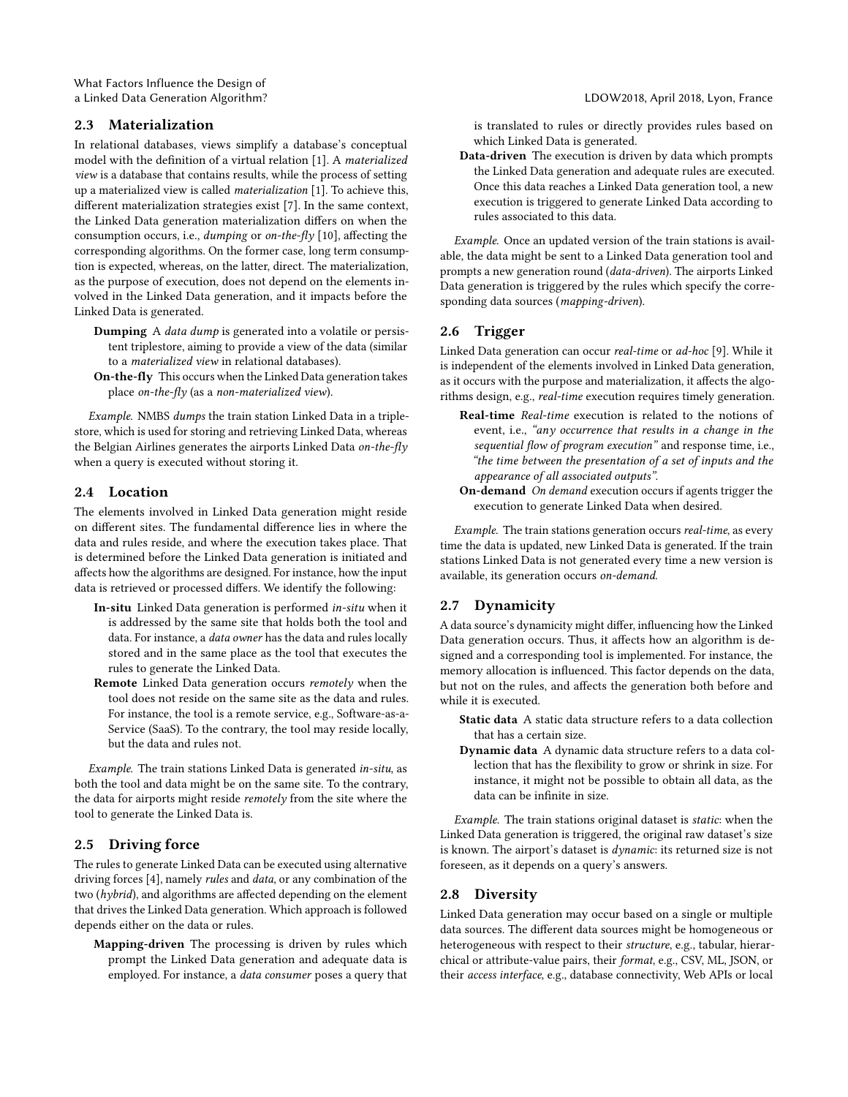What Factors Influence the Design of a Linked Data Generation Algorithm? LDOW2018, April 2018, Lyon, France

### <span id="page-2-0"></span>2.3 Materialization

In relational databases, views simplify a database's conceptual model with the definition of a virtual relation [\[1\]](#page-4-4). A materialized view is a database that contains results, while the process of setting up a materialized view is called materialization [\[1\]](#page-4-4). To achieve this, different materialization strategies exist [\[7\]](#page-4-5). In the same context, the Linked Data generation materialization differs on when the consumption occurs, i.e., dumping or on-the-fly [\[10\]](#page-4-0), affecting the corresponding algorithms. On the former case, long term consumption is expected, whereas, on the latter, direct. The materialization, as the purpose of execution, does not depend on the elements involved in the Linked Data generation, and it impacts before the Linked Data is generated.

- Dumping A data dump is generated into a volatile or persistent triplestore, aiming to provide a view of the data (similar to a materialized view in relational databases).
- On-the-fly This occurs when the Linked Data generation takes place on-the-fly (as a non-materialized view).

Example. NMBS dumps the train station Linked Data in a triplestore, which is used for storing and retrieving Linked Data, whereas the Belgian Airlines generates the airports Linked Data on-the-fly when a query is executed without storing it.

#### <span id="page-2-1"></span>2.4 Location

The elements involved in Linked Data generation might reside on different sites. The fundamental difference lies in where the data and rules reside, and where the execution takes place. That is determined before the Linked Data generation is initiated and affects how the algorithms are designed. For instance, how the input data is retrieved or processed differs. We identify the following:

- In-situ Linked Data generation is performed in-situ when it is addressed by the same site that holds both the tool and data. For instance, a data owner has the data and rules locally stored and in the same place as the tool that executes the rules to generate the Linked Data.
- Remote Linked Data generation occurs remotely when the tool does not reside on the same site as the data and rules. For instance, the tool is a remote service, e.g., Software-as-a-Service (SaaS). To the contrary, the tool may reside locally, but the data and rules not.

Example. The train stations Linked Data is generated in-situ, as both the tool and data might be on the same site. To the contrary, the data for airports might reside remotely from the site where the tool to generate the Linked Data is.

# <span id="page-2-2"></span>2.5 Driving force

The rules to generate Linked Data can be executed using alternative driving forces [\[4\]](#page-4-6), namely rules and data, or any combination of the two (hybrid), and algorithms are affected depending on the element that drives the Linked Data generation. Which approach is followed depends either on the data or rules.

Mapping-driven The processing is driven by rules which prompt the Linked Data generation and adequate data is employed. For instance, a data consumer poses a query that

is translated to rules or directly provides rules based on which Linked Data is generated.

Data-driven The execution is driven by data which prompts the Linked Data generation and adequate rules are executed. Once this data reaches a Linked Data generation tool, a new execution is triggered to generate Linked Data according to rules associated to this data.

Example. Once an updated version of the train stations is available, the data might be sent to a Linked Data generation tool and prompts a new generation round (data-driven). The airports Linked Data generation is triggered by the rules which specify the corresponding data sources (mapping-driven).

#### <span id="page-2-3"></span>2.6 Trigger

Linked Data generation can occur real-time or ad-hoc [\[9\]](#page-4-7). While it is independent of the elements involved in Linked Data generation, as it occurs with the purpose and materialization, it affects the algorithms design, e.g., real-time execution requires timely generation.

- Real-time Real-time execution is related to the notions of event, i.e., "any occurrence that results in a change in the sequential flow of program execution" and response time, i.e., "the time between the presentation of a set of inputs and the appearance of all associated outputs".
- On-demand On demand execution occurs if agents trigger the execution to generate Linked Data when desired.

Example. The train stations generation occurs real-time, as every time the data is updated, new Linked Data is generated. If the train stations Linked Data is not generated every time a new version is available, its generation occurs on-demand.

#### <span id="page-2-4"></span>2.7 Dynamicity

A data source's dynamicity might differ, influencing how the Linked Data generation occurs. Thus, it affects how an algorithm is designed and a corresponding tool is implemented. For instance, the memory allocation is influenced. This factor depends on the data, but not on the rules, and affects the generation both before and while it is executed.

- Static data A static data structure refers to a data collection that has a certain size.
- Dynamic data A dynamic data structure refers to a data collection that has the flexibility to grow or shrink in size. For instance, it might not be possible to obtain all data, as the data can be infinite in size.

Example. The train stations original dataset is static: when the Linked Data generation is triggered, the original raw dataset's size is known. The airport's dataset is dynamic: its returned size is not foreseen, as it depends on a query's answers.

#### <span id="page-2-5"></span>2.8 Diversity

Linked Data generation may occur based on a single or multiple data sources. The different data sources might be homogeneous or heterogeneous with respect to their structure, e.g., tabular, hierarchical or attribute-value pairs, their format, e.g., CSV, ML, JSON, or their access interface, e.g., database connectivity, Web APIs or local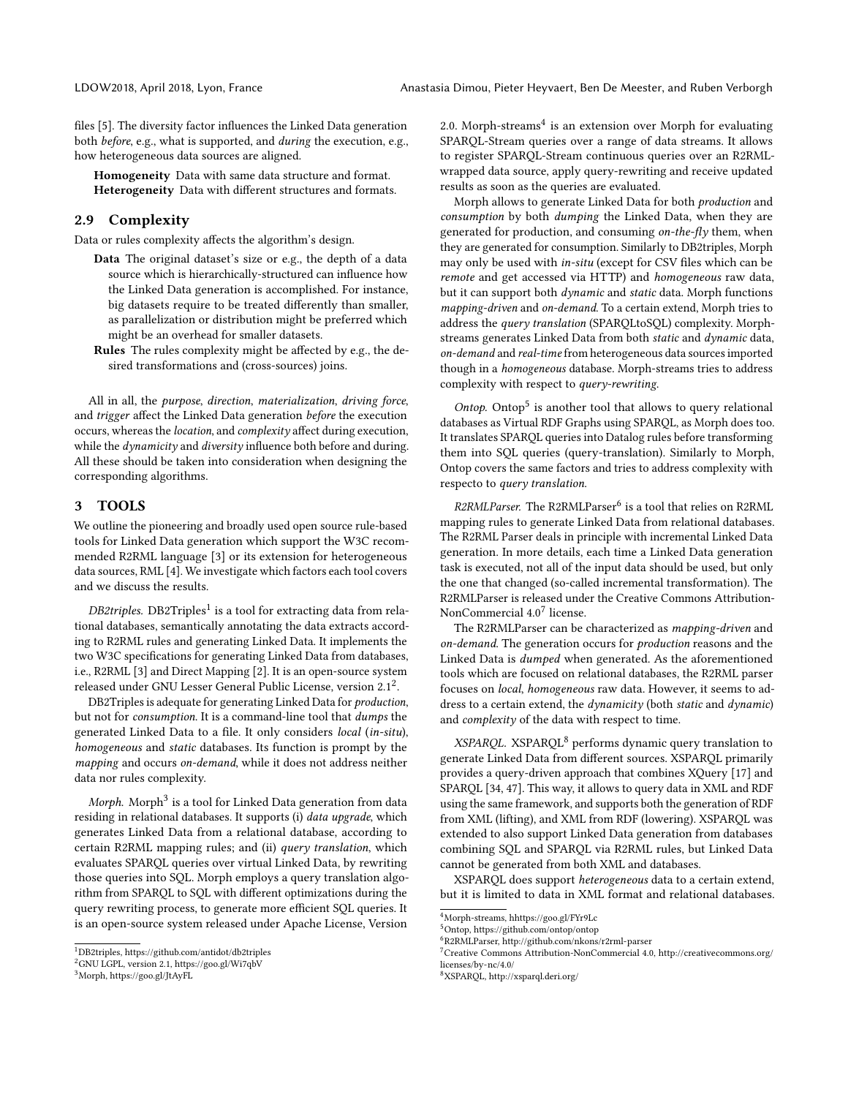files [\[5\]](#page-4-8). The diversity factor influences the Linked Data generation both before, e.g., what is supported, and during the execution, e.g., how heterogeneous data sources are aligned.

Homogeneity Data with same data structure and format. Heterogeneity Data with different structures and formats.

# <span id="page-3-0"></span>2.9 Complexity

Data or rules complexity affects the algorithm's design.

- Data The original dataset's size or e.g., the depth of a data source which is hierarchically-structured can influence how the Linked Data generation is accomplished. For instance, big datasets require to be treated differently than smaller, as parallelization or distribution might be preferred which might be an overhead for smaller datasets.
- Rules The rules complexity might be affected by e.g., the desired transformations and (cross-sources) joins.

All in all, the purpose, direction, materialization, driving force, and trigger affect the Linked Data generation before the execution occurs, whereas the location, and complexity affect during execution, while the *dynamicity* and *diversity* influence both before and during. All these should be taken into consideration when designing the corresponding algorithms.

#### 3 TOOLS

We outline the pioneering and broadly used open source rule-based tools for Linked Data generation which support the W3C recommended R2RML language [\[3\]](#page-4-9) or its extension for heterogeneous data sources, RML [\[4\]](#page-4-6). We investigate which factors each tool covers and we discuss the results.

*DB2triples.* DB2Triples $^1$  $^1$  is a tool for extracting data from relational databases, semantically annotating the data extracts according to R2RML rules and generating Linked Data. It implements the two W3C specifications for generating Linked Data from databases, i.e., R2RML [\[3\]](#page-4-9) and Direct Mapping [\[2\]](#page-4-10). It is an open-source system released under GNU Lesser General Public License, version [2](#page-3-2).1<sup>2</sup>.

DB2Triples is adequate for generating Linked Data for production, but not for consumption. It is a command-line tool that dumps the generated Linked Data to a file. It only considers local (in-situ), homogeneous and static databases. Its function is prompt by the mapping and occurs on-demand, while it does not address neither data nor rules complexity.

 ${\it Morph.~{\rm Morph^3}$  ${\it Morph.~{\rm Morph^3}$  ${\it Morph.~{\rm Morph^3}$  is a tool for Linked Data generation from data residing in relational databases. It supports (i) data upgrade, which generates Linked Data from a relational database, according to certain R2RML mapping rules; and (ii) query translation, which evaluates SPARQL queries over virtual Linked Data, by rewriting those queries into SQL. Morph employs a query translation algorithm from SPARQL to SQL with different optimizations during the query rewriting process, to generate more efficient SQL queries. It is an open-source system released under Apache License, Version

<span id="page-3-2"></span><sup>2</sup>GNU LGPL, version 2.1,<https://goo.gl/Wi7qbV>

2.0. Morph-streams<sup>[4](#page-3-4)</sup> is an extension over Morph for evaluating SPARQL-Stream queries over a range of data streams. It allows to register SPARQL-Stream continuous queries over an R2RMLwrapped data source, apply query-rewriting and receive updated results as soon as the queries are evaluated.

Morph allows to generate Linked Data for both production and consumption by both dumping the Linked Data, when they are generated for production, and consuming on-the-fly them, when they are generated for consumption. Similarly to DB2triples, Morph may only be used with in-situ (except for CSV files which can be remote and get accessed via HTTP) and homogeneous raw data, but it can support both dynamic and static data. Morph functions mapping-driven and on-demand. To a certain extend, Morph tries to address the query translation (SPARQLtoSQL) complexity. Morphstreams generates Linked Data from both static and dynamic data, on-demand and real-time from heterogeneous data sources imported though in a homogeneous database. Morph-streams tries to address complexity with respect to query-rewriting.

Ontop. Ontop<sup>[5](#page-3-5)</sup> is another tool that allows to query relational databases as Virtual RDF Graphs using SPARQL, as Morph does too. It translates SPARQL queries into Datalog rules before transforming them into SQL queries (query-translation). Similarly to Morph, Ontop covers the same factors and tries to address complexity with respecto to query translation.

R2RMLParser. The R2RMLParser<sup>[6](#page-3-6)</sup> is a tool that relies on R2RML mapping rules to generate Linked Data from relational databases. The R2RML Parser deals in principle with incremental Linked Data generation. In more details, each time a Linked Data generation task is executed, not all of the input data should be used, but only the one that changed (so-called incremental transformation). The R2RMLParser is released under the Creative Commons Attribution-NonCommercial  $4.0^7$  $4.0^7$  license.

The R2RMLParser can be characterized as mapping-driven and on-demand. The generation occurs for production reasons and the Linked Data is dumped when generated. As the aforementioned tools which are focused on relational databases, the R2RML parser focuses on local, homogeneous raw data. However, it seems to address to a certain extend, the dynamicity (both static and dynamic) and complexity of the data with respect to time.

XSPARQL. XSPARQL<sup>[8](#page-3-8)</sup> performs dynamic query translation to generate Linked Data from different sources. XSPARQL primarily provides a query-driven approach that combines XQuery [17] and SPARQL [34, 47]. This way, it allows to query data in XML and RDF using the same framework, and supports both the generation of RDF from XML (lifting), and XML from RDF (lowering). XSPARQL was extended to also support Linked Data generation from databases combining SQL and SPARQL via R2RML rules, but Linked Data cannot be generated from both XML and databases.

XSPARQL does support heterogeneous data to a certain extend, but it is limited to data in XML format and relational databases.

<span id="page-3-1"></span><sup>1</sup>DB2triples,<https://github.com/antidot/db2triples>

<span id="page-3-3"></span><sup>3</sup>Morph,<https://goo.gl/JtAyFL>

<span id="page-3-4"></span><sup>4</sup>Morph-streams,<hhttps://goo.gl/FYr9Lc>

<span id="page-3-6"></span><span id="page-3-5"></span><sup>5</sup>Ontop,<https://github.com/ontop/ontop>

<sup>6</sup>R2RMLParser,<http://github.com/nkons/r2rml-parser>

<span id="page-3-7"></span><sup>7</sup>Creative Commons Attribution-NonCommercial 4.0, [http://creativecommons.org/](http://creativecommons.org/licenses/by-nc/4.0/) [licenses/by-nc/4.0/](http://creativecommons.org/licenses/by-nc/4.0/)

<span id="page-3-8"></span><sup>8</sup>XSPARQL,<http://xsparql.deri.org/>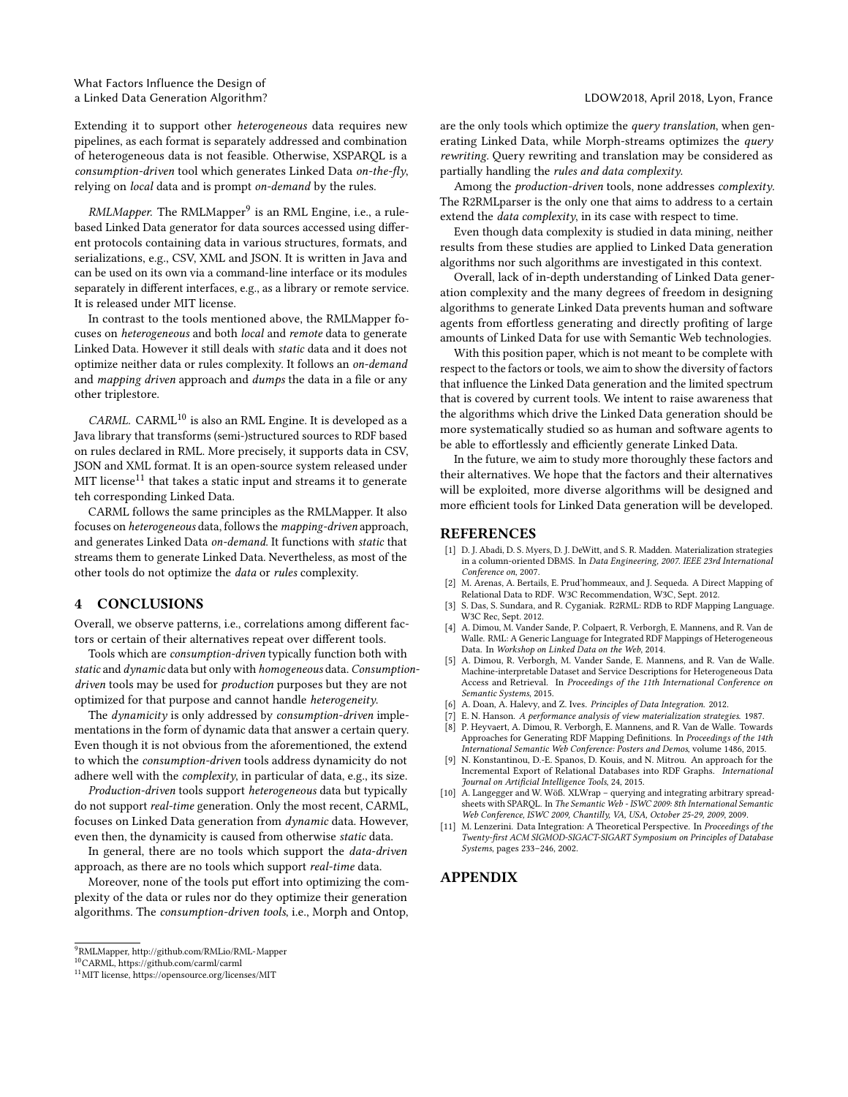Extending it to support other heterogeneous data requires new pipelines, as each format is separately addressed and combination of heterogeneous data is not feasible. Otherwise, XSPARQL is a consumption-driven tool which generates Linked Data on-the-fly, relying on local data and is prompt on-demand by the rules.

 $\emph{RMLMapper}.$  The RMLMapper $^9$  $^9$  is an RML Engine, i.e., a rulebased Linked Data generator for data sources accessed using different protocols containing data in various structures, formats, and serializations, e.g., CSV, XML and JSON. It is written in Java and can be used on its own via a command-line interface or its modules separately in different interfaces, e.g., as a library or remote service. It is released under MIT license.

In contrast to the tools mentioned above, the RMLMapper focuses on heterogeneous and both local and remote data to generate Linked Data. However it still deals with static data and it does not optimize neither data or rules complexity. It follows an on-demand and mapping driven approach and dumps the data in a file or any other triplestore.

 $CARML$ .  $CARML<sup>10</sup>$  $CARML<sup>10</sup>$  $CARML<sup>10</sup>$  is also an RML Engine. It is developed as a Java library that transforms (semi-)structured sources to RDF based on rules declared in RML. More precisely, it supports data in CSV, JSON and XML format. It is an open-source system released under  $\rm MIT$  license $^{11}$  $^{11}$  $^{11}$  that takes a static input and streams it to generate teh corresponding Linked Data.

CARML follows the same principles as the RMLMapper. It also focuses on heterogeneous data, follows the mapping-driven approach, and generates Linked Data on-demand. It functions with static that streams them to generate Linked Data. Nevertheless, as most of the other tools do not optimize the data or rules complexity.

# 4 CONCLUSIONS

Overall, we observe patterns, i.e., correlations among different factors or certain of their alternatives repeat over different tools.

Tools which are consumption-driven typically function both with static and dynamic data but only with homogeneous data. Consumptiondriven tools may be used for production purposes but they are not optimized for that purpose and cannot handle heterogeneity.

The dynamicity is only addressed by consumption-driven implementations in the form of dynamic data that answer a certain query. Even though it is not obvious from the aforementioned, the extend to which the consumption-driven tools address dynamicity do not adhere well with the complexity, in particular of data, e.g., its size.

Production-driven tools support heterogeneous data but typically do not support real-time generation. Only the most recent, CARML, focuses on Linked Data generation from dynamic data. However, even then, the dynamicity is caused from otherwise static data.

In general, there are no tools which support the data-driven approach, as there are no tools which support real-time data.

Moreover, none of the tools put effort into optimizing the complexity of the data or rules nor do they optimize their generation algorithms. The consumption-driven tools, i.e., Morph and Ontop,

are the only tools which optimize the query translation, when generating Linked Data, while Morph-streams optimizes the query rewriting. Query rewriting and translation may be considered as partially handling the rules and data complexity.

Among the production-driven tools, none addresses complexity. The R2RMLparser is the only one that aims to address to a certain extend the data complexity, in its case with respect to time.

Even though data complexity is studied in data mining, neither results from these studies are applied to Linked Data generation algorithms nor such algorithms are investigated in this context.

Overall, lack of in-depth understanding of Linked Data generation complexity and the many degrees of freedom in designing algorithms to generate Linked Data prevents human and software agents from effortless generating and directly profiting of large amounts of Linked Data for use with Semantic Web technologies.

With this position paper, which is not meant to be complete with respect to the factors or tools, we aim to show the diversity of factors that influence the Linked Data generation and the limited spectrum that is covered by current tools. We intent to raise awareness that the algorithms which drive the Linked Data generation should be more systematically studied so as human and software agents to be able to effortlessly and efficiently generate Linked Data.

In the future, we aim to study more thoroughly these factors and their alternatives. We hope that the factors and their alternatives will be exploited, more diverse algorithms will be designed and more efficient tools for Linked Data generation will be developed.

#### REFERENCES

- <span id="page-4-4"></span>[1] D. J. Abadi, D. S. Myers, D. J. DeWitt, and S. R. Madden. Materialization strategies in a column-oriented DBMS. In Data Engineering, 2007. IEEE 23rd International Conference on, 2007.
- <span id="page-4-10"></span>[2] M. Arenas, A. Bertails, E. Prud'hommeaux, and J. Sequeda. A Direct Mapping of Relational Data to RDF. W3C Recommendation, W3C, Sept. 2012.
- <span id="page-4-9"></span>S. Das, S. Sundara, and R. Cyganiak. R2RML: RDB to RDF Mapping Language. W3C Rec, Sept. 2012.
- <span id="page-4-6"></span>[4] A. Dimou, M. Vander Sande, P. Colpaert, R. Verborgh, E. Mannens, and R. Van de Walle. RML: A Generic Language for Integrated RDF Mappings of Heterogeneous Data. In Workshop on Linked Data on the Web, 2014.
- <span id="page-4-8"></span>[5] A. Dimou, R. Verborgh, M. Vander Sande, E. Mannens, and R. Van de Walle. Machine-interpretable Dataset and Service Descriptions for Heterogeneous Data Access and Retrieval. In Proceedings of the 11th International Conference on Semantic Systems, 2015.
- <span id="page-4-1"></span>A. Doan, A. Halevy, and Z. Ives. Principles of Data Integration. 2012.
- <span id="page-4-5"></span>E. N. Hanson. A performance analysis of view materialization strategies. 1987.
- <span id="page-4-3"></span>[8] P. Heyvaert, A. Dimou, R. Verborgh, E. Mannens, and R. Van de Walle. Towards Approaches for Generating RDF Mapping Definitions. In Proceedings of the 14th International Semantic Web Conference: Posters and Demos, volume 1486, 2015.
- <span id="page-4-7"></span>N. Konstantinou, D.-E. Spanos, D. Kouis, and N. Mitrou. An approach for the Incremental Export of Relational Databases into RDF Graphs. International Journal on Artificial Intelligence Tools, 24, 2015.
- <span id="page-4-0"></span>[10] A. Langegger and W. Wöß. XLWrap – querying and integrating arbitrary spreadsheets with SPARQL. In The Semantic Web - ISWC 2009: 8th International Semantic Web Conference, ISWC 2009, Chantilly, VA, USA, October 25-29, 2009, 2009.
- <span id="page-4-2"></span>M. Lenzerini. Data Integration: A Theoretical Perspective. In Proceedings of the Twenty-first ACM SIGMOD-SIGACT-SIGART Symposium on Principles of Database Systems, pages 233–246, 2002.

#### APPENDIX

<span id="page-4-11"></span><sup>9</sup>RMLMapper,<http://github.com/RMLio/RML-Mapper>

<span id="page-4-12"></span><sup>10</sup>CARML,<https://github.com/carml/carml>

<span id="page-4-13"></span> $^{11}\rm{MIT}$ license,<https://opensource.org/licenses/MIT>